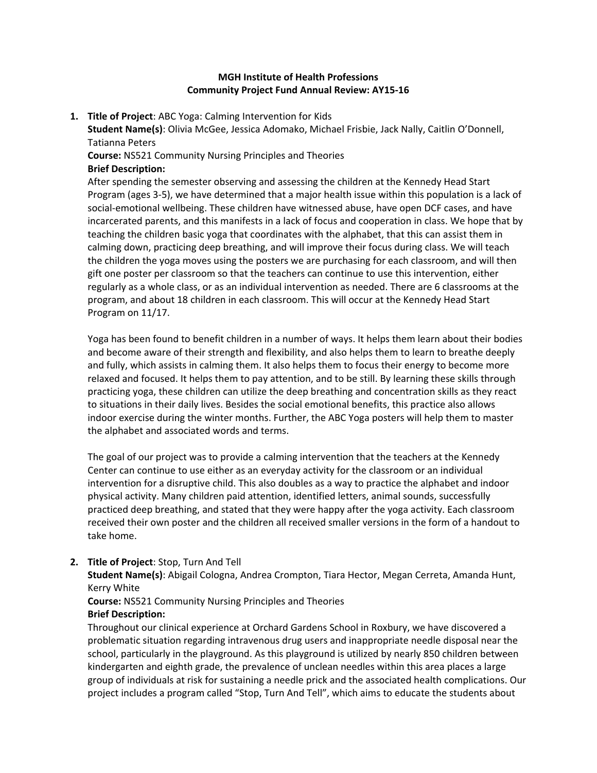## **MGH Institute of Health Professions Community Project Fund Annual Review: AY15‐16**

#### **1. Title of Project**: ABC Yoga: Calming Intervention for Kids

**Student Name(s)**: Olivia McGee, Jessica Adomako, Michael Frisbie, Jack Nally, Caitlin O'Donnell, Tatianna Peters

**Course:** NS521 Community Nursing Principles and Theories

## **Brief Description:**

After spending the semester observing and assessing the children at the Kennedy Head Start Program (ages 3‐5), we have determined that a major health issue within this population is a lack of social‐emotional wellbeing. These children have witnessed abuse, have open DCF cases, and have incarcerated parents, and this manifests in a lack of focus and cooperation in class. We hope that by teaching the children basic yoga that coordinates with the alphabet, that this can assist them in calming down, practicing deep breathing, and will improve their focus during class. We will teach the children the yoga moves using the posters we are purchasing for each classroom, and will then gift one poster per classroom so that the teachers can continue to use this intervention, either regularly as a whole class, or as an individual intervention as needed. There are 6 classrooms at the program, and about 18 children in each classroom. This will occur at the Kennedy Head Start Program on 11/17.

Yoga has been found to benefit children in a number of ways. It helps them learn about their bodies and become aware of their strength and flexibility, and also helps them to learn to breathe deeply and fully, which assists in calming them. It also helps them to focus their energy to become more relaxed and focused. It helps them to pay attention, and to be still. By learning these skills through practicing yoga, these children can utilize the deep breathing and concentration skills as they react to situations in their daily lives. Besides the social emotional benefits, this practice also allows indoor exercise during the winter months. Further, the ABC Yoga posters will help them to master the alphabet and associated words and terms.

The goal of our project was to provide a calming intervention that the teachers at the Kennedy Center can continue to use either as an everyday activity for the classroom or an individual intervention for a disruptive child. This also doubles as a way to practice the alphabet and indoor physical activity. Many children paid attention, identified letters, animal sounds, successfully practiced deep breathing, and stated that they were happy after the yoga activity. Each classroom received their own poster and the children all received smaller versions in the form of a handout to take home.

## **2. Title of Project**: Stop, Turn And Tell

**Student Name(s)**: Abigail Cologna, Andrea Crompton, Tiara Hector, Megan Cerreta, Amanda Hunt, Kerry White

# **Course:** NS521 Community Nursing Principles and Theories

## **Brief Description:**

Throughout our clinical experience at Orchard Gardens School in Roxbury, we have discovered a problematic situation regarding intravenous drug users and inappropriate needle disposal near the school, particularly in the playground. As this playground is utilized by nearly 850 children between kindergarten and eighth grade, the prevalence of unclean needles within this area places a large group of individuals at risk for sustaining a needle prick and the associated health complications. Our project includes a program called "Stop, Turn And Tell", which aims to educate the students about